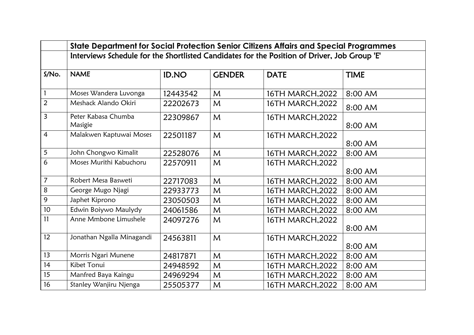|                 | State Department for Social Protection Senior Citizens Affairs and Special Programmes        |              |               |                  |             |  |  |  |
|-----------------|----------------------------------------------------------------------------------------------|--------------|---------------|------------------|-------------|--|--|--|
|                 | Interviews Schedule for the Shortlisted Candidates for the Position of Driver, Job Group 'E' |              |               |                  |             |  |  |  |
| S/No.           | <b>NAME</b>                                                                                  | <b>ID.NO</b> | <b>GENDER</b> | <b>DATE</b>      | <b>TIME</b> |  |  |  |
|                 | Moses Wandera Luvonga                                                                        | 12443542     | M             | 16TH MARCH, 2022 | 8:00 AM     |  |  |  |
| $\overline{2}$  | Meshack Alando Okiri                                                                         | 22202673     | M             | 16TH MARCH, 2022 | 8:00 AM     |  |  |  |
| $\overline{3}$  | Peter Kabasa Chumba<br>Masigie                                                               | 22309867     | $\mathsf{M}$  | 16TH MARCH, 2022 | 8:00 AM     |  |  |  |
| $\overline{4}$  | Malakwen Kaptuwai Moses                                                                      | 22501187     | M             | 16TH MARCH, 2022 | 8:00 AM     |  |  |  |
| 5               | John Chongwo Kimalit                                                                         | 22528076     | $\mathsf{M}$  | 16TH MARCH, 2022 | 8:00 AM     |  |  |  |
| 6               | Moses Murithi Kabuchoru                                                                      | 22570911     | M             | 16TH MARCH, 2022 | 8:00 AM     |  |  |  |
| $\overline{7}$  | Robert Mesa Basweti                                                                          | 22717083     | M             | 16TH MARCH, 2022 | 8:00 AM     |  |  |  |
| 8               | George Mugo Njagi                                                                            | 22933773     | M             | 16TH MARCH, 2022 | 8:00 AM     |  |  |  |
| 9               | Japhet Kiprono                                                                               | 23050503     | $\mathsf{M}$  | 16TH MARCH, 2022 | 8:00 AM     |  |  |  |
| 10 <sup>°</sup> | Edwin Boiywo Maulydy                                                                         | 24061586     | M             | 16TH MARCH, 2022 | 8:00 AM     |  |  |  |
| 11              | Anne Mmbone Limushele                                                                        | 24097276     | $\mathsf{M}$  | 16TH MARCH, 2022 | 8:00 AM     |  |  |  |
| 12              | Jonathan Ngalla Minagandi                                                                    | 24563811     | $\mathsf{M}$  | 16TH MARCH, 2022 | 8:00 AM     |  |  |  |
| 13              | Morris Ngari Munene                                                                          | 24817871     | M             | 16TH MARCH, 2022 | 8:00 AM     |  |  |  |
| 14              | Kibet Tonui                                                                                  | 24948592     | M             | 16TH MARCH, 2022 | 8:00 AM     |  |  |  |
| 15              | Manfred Baya Kaingu                                                                          | 24969294     | M             | 16TH MARCH, 2022 | 8:00 AM     |  |  |  |
| 16              | Stanley Wanjiru Njenga                                                                       | 25505377     | M             | 16TH MARCH, 2022 | 8:00 AM     |  |  |  |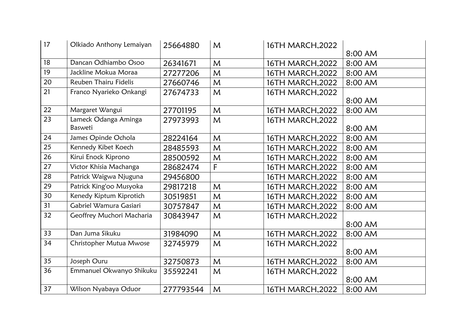| 17              | Olkiado Anthony Lemaiyan  | 25664880  | M | 16TH MARCH, 2022 |         |
|-----------------|---------------------------|-----------|---|------------------|---------|
|                 |                           |           |   |                  | 8:00 AM |
| 18              | Dancan Odhiambo Osoo      | 26341671  | M | 16TH MARCH, 2022 | 8:00 AM |
| 19              | Jackline Mokua Moraa      | 27277206  | M | 16TH MARCH, 2022 | 8:00 AM |
| 20              | Reuben Thairu Fidelis     | 27660746  | M | 16TH MARCH, 2022 | 8:00 AM |
| 21              | Franco Nyarieko Onkangi   | 27674733  | M | 16TH MARCH, 2022 |         |
|                 |                           |           |   |                  | 8:00 AM |
| 22              | Margaret Wangui           | 27701195  | M | 16TH MARCH, 2022 | 8:00 AM |
| 23              | Lameck Odanga Aminga      | 27973993  | M | 16TH MARCH, 2022 |         |
|                 | Basweti                   |           |   |                  | 8:00 AM |
| 24              | James Opinde Ochola       | 28224164  | M | 16TH MARCH, 2022 | 8:00 AM |
| 25              | Kennedy Kibet Koech       | 28485593  | M | 16TH MARCH, 2022 | 8:00 AM |
| 26              | Kirui Enock Kiprono       | 28500592  | M | 16TH MARCH, 2022 | 8:00 AM |
| 27              | Victor Khisia Machanga    | 28682474  | F | 16TH MARCH, 2022 | 8:00 AM |
| 28              | Patrick Waigwa Njuguna    | 29456800  |   | 16TH MARCH, 2022 | 8:00 AM |
| 29              | Patrick King'oo Musyoka   | 29817218  | M | 16TH MARCH, 2022 | 8:00 AM |
| 30              | Kenedy Kiptum Kiprotich   | 30519851  | M | 16TH MARCH, 2022 | 8:00 AM |
| 31              | Gabriel Wamura Gasiari    | 30757847  | M | 16TH MARCH, 2022 | 8:00 AM |
| 32              | Geoffrey Muchori Macharia | 30843947  | M | 16TH MARCH, 2022 |         |
|                 |                           |           |   |                  | 8:00 AM |
| 33              | Dan Juma Sikuku           | 31984090  | M | 16TH MARCH, 2022 | 8:00 AM |
| 34              | Christopher Mutua Mwose   | 32745979  | M | 16TH MARCH, 2022 |         |
|                 |                           |           |   |                  | 8:00 AM |
| $\overline{35}$ | Joseph Ouru               | 32750873  | M | 16TH MARCH, 2022 | 8:00 AM |
| 36              | Emmanuel Okwanyo Shikuku  | 35592241  | M | 16TH MARCH, 2022 |         |
|                 |                           |           |   |                  | 8:00 AM |
| 37              | Wilson Nyabaya Oduor      | 277793544 | M | 16TH MARCH, 2022 | 8:00 AM |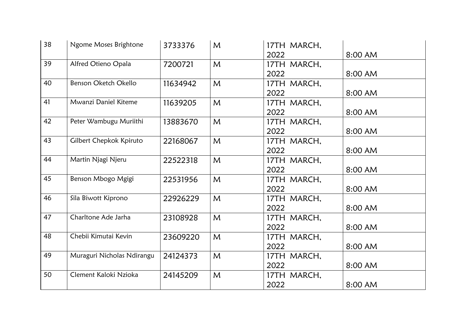| 38 | Ngome Moses Brightone      | 3733376  | M            | 17TH MARCH, |         |
|----|----------------------------|----------|--------------|-------------|---------|
|    |                            |          |              | 2022        | 8:00 AM |
| 39 | Alfred Otieno Opala        | 7200721  | M            | 17TH MARCH, |         |
|    |                            |          |              | 2022        | 8:00 AM |
| 40 | Benson Oketch Okello       | 11634942 | M            | 17TH MARCH, |         |
|    |                            |          |              | 2022        | 8:00 AM |
| 41 | Mwanzi Daniel Kiteme       | 11639205 | M            | 17TH MARCH, |         |
|    |                            |          |              | 2022        | 8:00 AM |
| 42 | Peter Wambugu Muriithi     | 13883670 | M            | 17TH MARCH, |         |
|    |                            |          |              | 2022        | 8:00 AM |
| 43 | Gilbert Chepkok Kpiruto    | 22168067 | M            | 17TH MARCH, |         |
|    |                            |          |              | 2022        | 8:00 AM |
| 44 | Martin Njagi Njeru         | 22522318 | M            | 17TH MARCH, |         |
|    |                            |          |              | 2022        | 8:00 AM |
| 45 | Benson Mbogo Mgigi         | 22531956 | M            | 17TH MARCH, |         |
|    |                            |          |              | 2022        | 8:00 AM |
| 46 | Sila Biwott Kiprono        | 22926229 | $\mathsf{M}$ | 17TH MARCH, |         |
|    |                            |          |              | 2022        | 8:00 AM |
| 47 | Charltone Ade Jarha        | 23108928 | M            | 17TH MARCH, |         |
|    |                            |          |              | 2022        | 8:00 AM |
| 48 | Chebii Kimutai Kevin       | 23609220 | M            | 17TH MARCH, |         |
|    |                            |          |              | 2022        | 8:00 AM |
| 49 | Muraguri Nicholas Ndirangu | 24124373 | M            | 17TH MARCH, |         |
|    |                            |          |              | 2022        | 8:00 AM |
| 50 | Clement Kaloki Nzioka      | 24145209 | M            | 17TH MARCH, |         |
|    |                            |          |              | 2022        | 8:00 AM |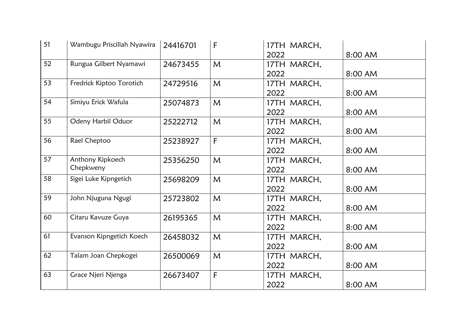| 51 | Wambugu Priscillah Nyawira | 24416701 | F            | 17TH MARCH, |         |
|----|----------------------------|----------|--------------|-------------|---------|
|    |                            |          |              | 2022        | 8:00 AM |
| 52 | Rungua Gilbert Nyamawi     | 24673455 | $\mathsf{M}$ | 17TH MARCH, |         |
|    |                            |          |              | 2022        | 8:00 AM |
| 53 | Fredrick Kiptoo Torotich   | 24729516 | M            | 17TH MARCH, |         |
|    |                            |          |              | 2022        | 8:00 AM |
| 54 | Simiyu Erick Wafula        | 25074873 | M            | 17TH MARCH, |         |
|    |                            |          |              | 2022        | 8:00 AM |
| 55 | Odeny Harbil Oduor         | 25222712 | M            | 17TH MARCH, |         |
|    |                            |          |              | 2022        | 8:00 AM |
| 56 | Rael Cheptoo               | 25238927 | F            | 17TH MARCH, |         |
|    |                            |          |              | 2022        | 8:00 AM |
| 57 | Anthony Kipkoech           | 25356250 | M            | 17TH MARCH, |         |
|    | Chepkweny                  |          |              | 2022        | 8:00 AM |
| 58 | Sigei Luke Kipngetich      | 25698209 | M            | 17TH MARCH, |         |
|    |                            |          |              | 2022        | 8:00 AM |
| 59 | John Njuguna Ngugi         | 25723802 | M            | 17TH MARCH, |         |
|    |                            |          |              | 2022        | 8:00 AM |
| 60 | Citaru Kavuze Guya         | 26195365 | M            | 17TH MARCH, |         |
|    |                            |          |              | 2022        | 8:00 AM |
| 61 | Evanson Kipngetich Koech   | 26458032 | $\mathsf{M}$ | 17TH MARCH, |         |
|    |                            |          |              | 2022        | 8:00 AM |
| 62 | Talam Joan Chepkogei       | 26500069 | M            | 17TH MARCH, |         |
|    |                            |          |              | 2022        | 8:00 AM |
| 63 | Grace Njeri Njenga         | 26673407 | $\mathsf{F}$ | 17TH MARCH, |         |
|    |                            |          |              | 2022        | 8:00 AM |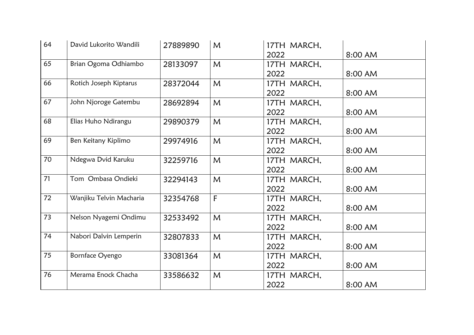| 64 | David Lukorito Wandili  | 27889890 | M            | 17TH MARCH, |         |
|----|-------------------------|----------|--------------|-------------|---------|
|    |                         |          |              | 2022        | 8:00 AM |
| 65 | Brian Ogoma Odhiambo    | 28133097 | M            | 17TH MARCH, |         |
|    |                         |          |              | 2022        | 8:00 AM |
| 66 | Rotich Joseph Kiptarus  | 28372044 | $\mathsf{M}$ | 17TH MARCH, |         |
|    |                         |          |              | 2022        | 8:00 AM |
| 67 | John Njoroge Gatembu    | 28692894 | M            | 17TH MARCH, |         |
|    |                         |          |              | 2022        | 8:00 AM |
| 68 | Elias Huho Ndirangu     | 29890379 | M            | 17TH MARCH, |         |
|    |                         |          |              | 2022        | 8:00 AM |
| 69 | Ben Keitany Kiplimo     | 29974916 | M            | 17TH MARCH, |         |
|    |                         |          |              | 2022        | 8:00 AM |
| 70 | Ndegwa Dvid Karuku      | 32259716 | M            | 17TH MARCH, |         |
|    |                         |          |              | 2022        | 8:00 AM |
| 71 | Tom Ombasa Ondieki      | 32294143 | M            | 17TH MARCH, |         |
|    |                         |          |              | 2022        | 8:00 AM |
| 72 | Wanjiku Telvin Macharia | 32354768 | F            | 17TH MARCH, |         |
|    |                         |          |              | 2022        | 8:00 AM |
| 73 | Nelson Nyagemi Ondimu   | 32533492 | M            | 17TH MARCH, |         |
|    |                         |          |              | 2022        | 8:00 AM |
| 74 | Nabori Dalvin Lemperin  | 32807833 | M            | 17TH MARCH, |         |
|    |                         |          |              | 2022        | 8:00 AM |
| 75 | Bornface Oyengo         | 33081364 | M            | 17TH MARCH, |         |
|    |                         |          |              | 2022        | 8:00 AM |
| 76 | Merama Enock Chacha     | 33586632 | M            | 17TH MARCH, |         |
|    |                         |          |              | 2022        | 8:00 AM |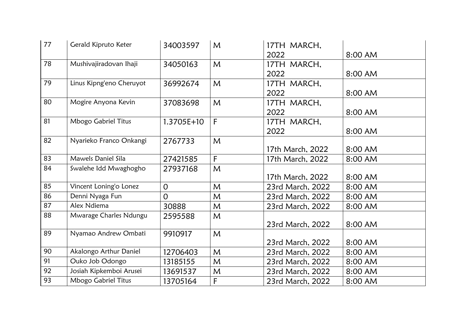| 77 | Gerald Kipruto Keter     | 34003597       | M            | 17TH MARCH,      |         |
|----|--------------------------|----------------|--------------|------------------|---------|
|    |                          |                |              | 2022             | 8:00 AM |
| 78 | Mushivajiradovan Ihaji   | 34050163       | $\mathsf{M}$ | 17TH MARCH,      |         |
|    |                          |                |              | 2022             | 8:00 AM |
| 79 | Linus Kipng'eno Cheruyot | 36992674       | $\mathsf{M}$ | 17TH MARCH,      |         |
|    |                          |                |              | 2022             | 8:00 AM |
| 80 | Mogire Anyona Kevin      | 37083698       | $\mathsf{M}$ | 17TH MARCH,      |         |
|    |                          |                |              | 2022             | 8:00 AM |
| 81 | Mbogo Gabriel Titus      | 1.3705E+10     | $\mathsf{F}$ | 17TH MARCH,      |         |
|    |                          |                |              | 2022             | 8:00 AM |
| 82 | Nyarieko Franco Onkangi  | 2767733        | M            |                  |         |
|    |                          |                |              | 17th March, 2022 | 8:00 AM |
| 83 | Mawels Daniel Sila       | 27421585       | F            | 17th March, 2022 | 8:00 AM |
| 84 | Swalehe Idd Mwaghogho    | 27937168       | $\mathsf{M}$ |                  |         |
|    |                          |                |              | 17th March, 2022 | 8:00 AM |
| 85 | Vincent Loning'o Lonez   | $\overline{O}$ | M            | 23rd March, 2022 | 8:00 AM |
| 86 | Denni Nyaga Fun          | $\overline{0}$ | M            | 23rd March, 2022 | 8:00 AM |
| 87 | Alex Ndiema              | 30888          | M            | 23rd March, 2022 | 8:00 AM |
| 88 | Mwarage Charles Ndungu   | 2595588        | M            |                  |         |
|    |                          |                |              | 23rd March, 2022 | 8:00 AM |
| 89 | Nyamao Andrew Ombati     | 9910917        | $\mathsf{M}$ |                  |         |
|    |                          |                |              | 23rd March, 2022 | 8:00 AM |
| 90 | Akalongo Arthur Daniel   | 12706403       | $\mathsf{M}$ | 23rd March, 2022 | 8:00 AM |
| 91 | Ouko Job Odongo          | 13185155       | M            | 23rd March, 2022 | 8:00 AM |
| 92 | Josiah Kipkemboi Arusei  | 13691537       | M            | 23rd March, 2022 | 8:00 AM |
| 93 | Mbogo Gabriel Titus      | 13705164       | F            | 23rd March, 2022 | 8:00 AM |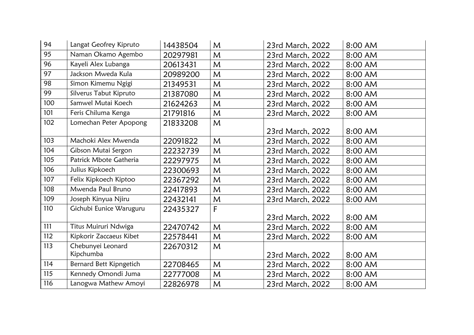| 94              | Langat Geofrey Kipruto  | 14438504 | M            | 23rd March, 2022 | 8:00 AM |
|-----------------|-------------------------|----------|--------------|------------------|---------|
| 95              | Naman Okamo Agembo      | 20297981 | M            | 23rd March, 2022 | 8:00 AM |
| 96              | Kayeli Alex Lubanga     | 20613431 | M            | 23rd March, 2022 | 8:00 AM |
| $\overline{97}$ | Jackson Mweda Kula      | 20989200 | M            | 23rd March, 2022 | 8:00 AM |
| 98              | Simon Kimemu Ngigi      | 21349531 | M            | 23rd March, 2022 | 8:00 AM |
| 99              | Silverus Tabut Kipruto  | 21387080 | $\mathsf{M}$ | 23rd March, 2022 | 8:00 AM |
| 100             | Samwel Mutai Koech      | 21624263 | M            | 23rd March, 2022 | 8:00 AM |
| 101             | Feris Chiluma Kenga     | 21791816 | M            | 23rd March, 2022 | 8:00 AM |
| 102             | Lomechan Peter Apopong  | 21833208 | $\mathsf{M}$ |                  |         |
|                 |                         |          |              | 23rd March, 2022 | 8:00 AM |
| 103             | Machoki Alex Mwenda     | 22091822 | M            | 23rd March, 2022 | 8:00 AM |
| 104             | Gibson Mutai Sergon     | 22232739 | M            | 23rd March, 2022 | 8:00 AM |
| 105             | Patrick Mbote Gatheria  | 22297975 | M            | 23rd March, 2022 | 8:00 AM |
| 106             | Julius Kipkoech         | 22300693 | M            | 23rd March, 2022 | 8:00 AM |
| 107             | Felix Kipkoech Kiptoo   | 22367292 | M            | 23rd March, 2022 | 8:00 AM |
| 108             | Mwenda Paul Bruno       | 22417893 | M            | 23rd March, 2022 | 8:00 AM |
| 109             | Joseph Kinyua Njiru     | 22432141 | M            | 23rd March, 2022 | 8:00 AM |
| 110             | Gichubi Eunice Waruguru | 22435327 | $\mathsf{F}$ |                  |         |
|                 |                         |          |              | 23rd March, 2022 | 8:00 AM |
| 111             | Titus Muiruri Ndwiga    | 22470742 | M            | 23rd March, 2022 | 8:00 AM |
| 112             | Kipkorir Zaccaeus Kibet | 22578441 | M            | 23rd March, 2022 | 8:00 AM |
| 113             | Chebunyei Leonard       | 22670312 | M            |                  |         |
|                 | Kipchumba               |          |              | 23rd March, 2022 | 8:00 AM |
| 114             | Bernard Bett Kipngetich | 22708465 | $\mathsf{M}$ | 23rd March, 2022 | 8:00 AM |
| 115             | Kennedy Omondi Juma     | 22777008 | M            | 23rd March, 2022 | 8:00 AM |
| 116             | Lanogwa Mathew Amoyi    | 22826978 | M            | 23rd March, 2022 | 8:00 AM |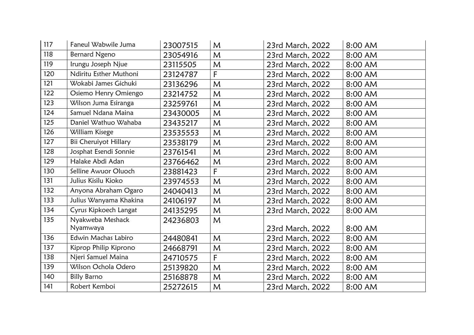| 117 | Faneul Wabwile Juma          | 23007515 | M            | 23rd March, 2022 | 8:00 AM |
|-----|------------------------------|----------|--------------|------------------|---------|
| 118 | Bernard Ngeno                | 23054916 | M            | 23rd March, 2022 | 8:00 AM |
| 119 | Irungu Joseph Njue           | 23115505 | M            | 23rd March, 2022 | 8:00 AM |
| 120 | Ndiritu Esther Muthoni       | 23124787 | F            | 23rd March, 2022 | 8:00 AM |
| 121 | Wokabi James Gichuki         | 23136296 | $\mathsf{M}$ | 23rd March, 2022 | 8:00 AM |
| 122 | Osiemo Henry Omiengo         | 23214752 | M            | 23rd March, 2022 | 8:00 AM |
| 123 | Wilson Juma Esiranga         | 23259761 | M            | 23rd March, 2022 | 8:00 AM |
| 124 | Samuel Ndana Maina           | 23430005 | M            | 23rd March, 2022 | 8:00 AM |
| 125 | Daniel Wathuo Wahaba         | 23435217 | M            | 23rd March, 2022 | 8:00 AM |
| 126 | William Kisege               | 23535553 | M            | 23rd March, 2022 | 8:00 AM |
| 127 | <b>Bii Cheruiyot Hillary</b> | 23538179 | M            | 23rd March, 2022 | 8:00 AM |
| 128 | Josphat Esendi Sonnie        | 23761541 | M            | 23rd March, 2022 | 8:00 AM |
| 129 | Halake Abdi Adan             | 23766462 | M            | 23rd March, 2022 | 8:00 AM |
| 130 | Selline Awuor Oluoch         | 23881423 | F            | 23rd March, 2022 | 8:00 AM |
| 131 | Julius Kisilu Kioko          | 23974553 | $\mathsf{M}$ | 23rd March, 2022 | 8:00 AM |
| 132 | Anyona Abraham Ogaro         | 24040413 | M            | 23rd March, 2022 | 8:00 AM |
| 133 | Julius Wanyama Khakina       | 24106197 | M            | 23rd March, 2022 | 8:00 AM |
| 134 | Cyrus Kipkoech Langat        | 24135295 | M            | 23rd March, 2022 | 8:00 AM |
| 135 | Nyakweba Meshack             | 24236803 | M            |                  |         |
|     | Nyamwaya                     |          |              | 23rd March, 2022 | 8:00 AM |
| 136 | Edwin Machas Labiro          | 24480841 | M            | 23rd March, 2022 | 8:00 AM |
| 137 | Kiprop Philip Kiprono        | 24668791 | M            | 23rd March, 2022 | 8:00 AM |
| 138 | Njeri Samuel Maina           | 24710575 | F            | 23rd March, 2022 | 8:00 AM |
| 139 | Wilson Ochola Odero          | 25139820 | M            | 23rd March, 2022 | 8:00 AM |
| 140 | <b>Billy Barno</b>           | 25168878 | M            | 23rd March, 2022 | 8:00 AM |
| 141 | Robert Kemboi                | 25272615 | M            | 23rd March, 2022 | 8:00 AM |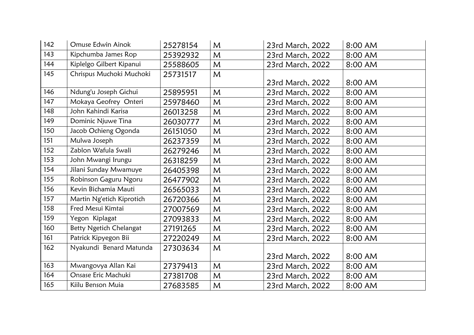| 142 | Omuse Edwin Ainok         | 25278154 | M | 23rd March, 2022 | 8:00 AM |
|-----|---------------------------|----------|---|------------------|---------|
| 143 | Kipchumba James Rop       | 25392932 | M | 23rd March, 2022 | 8:00 AM |
| 144 | Kiplelgo Gilbert Kipanui  | 25588605 | M | 23rd March, 2022 | 8:00 AM |
| 145 | Chrispus Muchoki Muchoki  | 25731517 | M |                  |         |
|     |                           |          |   | 23rd March, 2022 | 8:00 AM |
| 146 | Ndung'u Joseph Gichui     | 25895951 | M | 23rd March, 2022 | 8:00 AM |
| 147 | Mokaya Geofrey Onteri     | 25978460 | M | 23rd March, 2022 | 8:00 AM |
| 148 | John Kahindi Karisa       | 26013258 | M | 23rd March, 2022 | 8:00 AM |
| 149 | Dominic Njuwe Tina        | 26030777 | M | 23rd March, 2022 | 8:00 AM |
| 150 | Jacob Ochieng Ogonda      | 26151050 | M | 23rd March, 2022 | 8:00 AM |
| 151 | Mulwa Joseph              | 26237359 | M | 23rd March, 2022 | 8:00 AM |
| 152 | Zablon Wafula Swali       | 26279246 | M | 23rd March, 2022 | 8:00 AM |
| 153 | John Mwangi Irungu        | 26318259 | M | 23rd March, 2022 | 8:00 AM |
| 154 | Jilani Sunday Mwamuye     | 26405398 | M | 23rd March, 2022 | 8:00 AM |
| 155 | Robinson Gaguru Ngoru     | 26477902 | M | 23rd March, 2022 | 8:00 AM |
| 156 | Kevin Bichamia Mauti      | 26565033 | M | 23rd March, 2022 | 8:00 AM |
| 157 | Martin Ng'etich Kiprotich | 26720366 | M | 23rd March, 2022 | 8:00 AM |
| 158 | Fred Mesui Kimtai         | 27007569 | M | 23rd March, 2022 | 8:00 AM |
| 159 | Yegon Kiplagat            | 27093833 | M | 23rd March, 2022 | 8:00 AM |
| 160 | Betty Ngetich Chelangat   | 27191265 | M | 23rd March, 2022 | 8:00 AM |
| 161 | Patrick Kipyegon Bii      | 27220249 | M | 23rd March, 2022 | 8:00 AM |
| 162 | Nyakundi Benard Matunda   | 27303634 | M |                  |         |
|     |                           |          |   | 23rd March, 2022 | 8:00 AM |
| 163 | Mwangovya Allan Kai       | 27379413 | M | 23rd March, 2022 | 8:00 AM |
| 164 | Onsase Eric Machuki       | 27381708 | M | 23rd March, 2022 | 8:00 AM |
| 165 | Kiilu Benson Muia         | 27683585 | M | 23rd March, 2022 | 8:00 AM |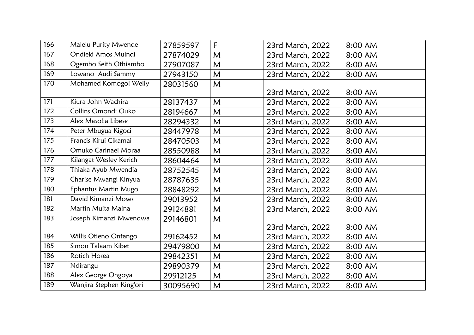| 166 | Malelu Purity Mwende     | 27859597 | $\sf F$ | 23rd March, 2022 | 8:00 AM |
|-----|--------------------------|----------|---------|------------------|---------|
| 167 | Ondieki Amos Muindi      | 27874029 | M       | 23rd March, 2022 | 8:00 AM |
| 168 | Ogembo Seith Othiambo    | 27907087 | M       | 23rd March, 2022 | 8:00 AM |
| 169 | Lowano Audi Sammy        | 27943150 | M       | 23rd March, 2022 | 8:00 AM |
| 170 | Mohamed Komogol Welly    | 28031560 | M       |                  |         |
|     |                          |          |         | 23rd March, 2022 | 8:00 AM |
| 171 | Kiura John Wachira       | 28137437 | M       | 23rd March, 2022 | 8:00 AM |
| 172 | Collins Omondi Ouko      | 28194667 | M       | 23rd March, 2022 | 8:00 AM |
| 173 | Alex Masolia Libese      | 28294332 | M       | 23rd March, 2022 | 8:00 AM |
| 174 | Peter Mbugua Kigoci      | 28447978 | M       | 23rd March, 2022 | 8:00 AM |
| 175 | Francis Kirui Cikamai    | 28470503 | M       | 23rd March, 2022 | 8:00 AM |
| 176 | Omuko Carinael Moraa     | 28550988 | M       | 23rd March, 2022 | 8:00 AM |
| 177 | Kilangat Wesley Kerich   | 28604464 | M       | 23rd March, 2022 | 8:00 AM |
| 178 | Thiaka Ayub Mwendia      | 28752545 | M       | 23rd March, 2022 | 8:00 AM |
| 179 | Charlse Mwangi Kinyua    | 28787635 | M       | 23rd March, 2022 | 8:00 AM |
| 180 | Ephantus Martin Mugo     | 28848292 | M       | 23rd March, 2022 | 8:00 AM |
| 181 | David Kimanzi Moses      | 29013952 | M       | 23rd March, 2022 | 8:00 AM |
| 182 | Martin Muita Maina       | 29124881 | M       | 23rd March, 2022 | 8:00 AM |
| 183 | Joseph Kimanzi Mwendwa   | 29146801 | M       |                  |         |
|     |                          |          |         | 23rd March, 2022 | 8:00 AM |
| 184 | Willis Otieno Ontango    | 29162452 | M       | 23rd March, 2022 | 8:00 AM |
| 185 | Simon Talaam Kibet       | 29479800 | M       | 23rd March, 2022 | 8:00 AM |
| 186 | Rotich Hosea             | 29842351 | M       | 23rd March, 2022 | 8:00 AM |
| 187 | Ndirangu                 | 29890379 | M       | 23rd March, 2022 | 8:00 AM |
| 188 | Alex George Ongoya       | 29912125 | M       | 23rd March, 2022 | 8:00 AM |
| 189 | Wanjira Stephen King'ori | 30095690 | M       | 23rd March, 2022 | 8:00 AM |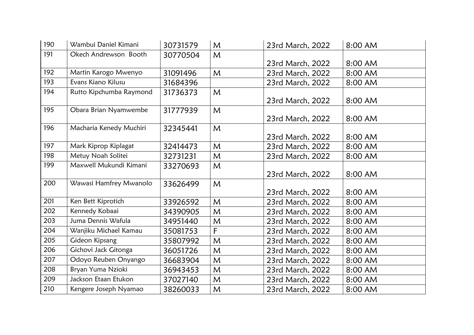| 190 | Wambui Daniel Kimani    | 30731579 | M            | 23rd March, 2022 | 8:00 AM |
|-----|-------------------------|----------|--------------|------------------|---------|
| 191 | Okech Andrewson Booth   | 30770504 | M            |                  |         |
|     |                         |          |              | 23rd March, 2022 | 8:00 AM |
| 192 | Martin Karogo Mwenyo    | 31091496 | M            | 23rd March, 2022 | 8:00 AM |
| 193 | Evans Kiano Kilusu      | 31684396 |              | 23rd March, 2022 | 8:00 AM |
| 194 | Rutto Kipchumba Raymond | 31736373 | $\mathsf{M}$ |                  |         |
|     |                         |          |              | 23rd March, 2022 | 8:00 AM |
| 195 | Obara Brian Nyamwembe   | 31777939 | M            |                  |         |
|     |                         |          |              | 23rd March, 2022 | 8:00 AM |
| 196 | Macharia Kenedy Muchiri | 32345441 | M            |                  |         |
|     |                         |          |              | 23rd March, 2022 | 8:00 AM |
| 197 | Mark Kiprop Kiplagat    | 32414473 | M            | 23rd March, 2022 | 8:00 AM |
| 198 | Metuy Noah Solitei      | 32731231 | M            | 23rd March, 2022 | 8:00 AM |
| 199 | Maxwell Mukundi Kimani  | 33270693 | $\mathsf{M}$ |                  |         |
|     |                         |          |              | 23rd March, 2022 | 8:00 AM |
| 200 | Wawasi Hamfrey Mwanolo  | 33626499 | $\mathsf{M}$ |                  |         |
|     |                         |          |              | 23rd March, 2022 | 8:00 AM |
| 201 | Ken Bett Kiprotich      | 33926592 | M            | 23rd March, 2022 | 8:00 AM |
| 202 | Kennedy Kobaai          | 34390905 | M            | 23rd March, 2022 | 8:00 AM |
| 203 | Juma Dennis Wafula      | 34951440 | M            | 23rd March, 2022 | 8:00 AM |
| 204 | Wanjiku Michael Kamau   | 35081753 | $\mathsf{F}$ | 23rd March, 2022 | 8:00 AM |
| 205 | Gideon Kipsang          | 35807992 | M            | 23rd March, 2022 | 8:00 AM |
| 206 | Gichovi Jack Gitonga    | 36051726 | M            | 23rd March, 2022 | 8:00 AM |
| 207 | Odoyo Reuben Onyango    | 36683904 | M            | 23rd March, 2022 | 8:00 AM |
| 208 | Bryan Yuma Nzioki       | 36943453 | M            | 23rd March, 2022 | 8:00 AM |
| 209 | Jackson Etaan Etukon    | 37027140 | M            | 23rd March, 2022 | 8:00 AM |
| 210 | Kengere Joseph Nyamao   | 38260033 | M            | 23rd March, 2022 | 8:00 AM |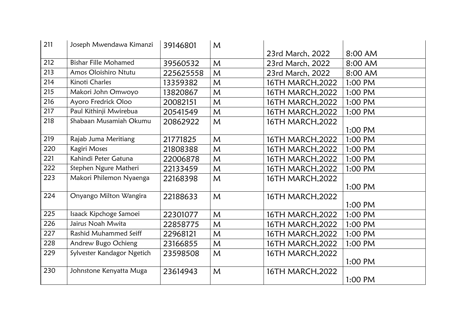| 211 | Joseph Mwendawa Kimanzi     | 39146801  | M |                  |           |
|-----|-----------------------------|-----------|---|------------------|-----------|
|     |                             |           |   | 23rd March, 2022 | 8:00 AM   |
| 212 | <b>Bishar Fille Mohamed</b> | 39560532  | M | 23rd March, 2022 | 8:00 AM   |
| 213 | Amos Oloishiro Ntutu        | 225625558 | M | 23rd March, 2022 | 8:00 AM   |
| 214 | Kinoti Charles              | 13359382  | M | 16TH MARCH, 2022 | 1:00 PM   |
| 215 | Makori John Omwoyo          | 13820867  | M | 16TH MARCH, 2022 | 1:00 PM   |
| 216 | Ayoro Fredrick Oloo         | 20082151  | M | 16TH MARCH, 2022 | 1:00 PM   |
| 217 | Paul Kithinji Mwirebua      | 20541549  | M | 16TH MARCH, 2022 | 1:00 PM   |
| 218 | Shabaan Musamiah Okumu      | 20862922  | M | 16TH MARCH, 2022 |           |
|     |                             |           |   |                  | 1:00 PM   |
| 219 | Rajab Juma Meritiang        | 21771825  | M | 16TH MARCH, 2022 | 1:00 PM   |
| 220 | Kagiri Moses                | 21808388  | M | 16TH MARCH, 2022 | 1:00 PM   |
| 221 | Kahindi Peter Gatuna        | 22006878  | M | 16TH MARCH, 2022 | 1:00 PM   |
| 222 | Stephen Ngure Matheri       | 22133459  | M | 16TH MARCH, 2022 | 1:00 PM   |
| 223 | Makori Philemon Nyaenga     | 22168398  | M | 16TH MARCH, 2022 |           |
|     |                             |           |   |                  | 1:00 PM   |
| 224 | Onyango Milton Wangira      | 22188633  | M | 16TH MARCH, 2022 |           |
|     |                             |           |   |                  | 1:00 PM   |
| 225 | Isaack Kipchoge Samoei      | 22301077  | M | 16TH MARCH, 2022 | 1:00 PM   |
| 226 | Jairus Noah Mwita           | 22858775  | M | 16TH MARCH, 2022 | 1:00 PM   |
| 227 | Rashid Muhammed Seiff       | 22968121  | M | 16TH MARCH, 2022 | 1:00 PM   |
| 228 | Andrew Bugo Ochieng         | 23166855  | M | 16TH MARCH, 2022 | $1:00$ PM |
| 229 | Sylvester Kandagor Ngetich  | 23598508  | M | 16TH MARCH, 2022 |           |
|     |                             |           |   |                  | 1:00 PM   |
| 230 | Johnstone Kenyatta Muga     | 23614943  | M | 16TH MARCH, 2022 |           |
|     |                             |           |   |                  | 1:00 PM   |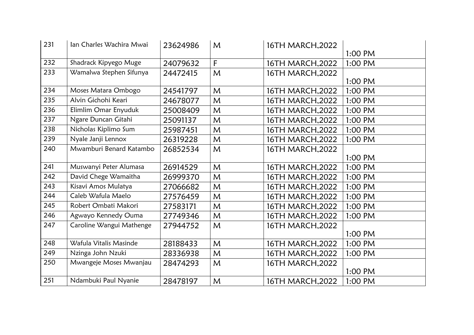| 231 | Ian Charles Wachira Mwai | 23624986 | M | 16TH MARCH, 2022 |         |
|-----|--------------------------|----------|---|------------------|---------|
|     |                          |          |   |                  | 1:00 PM |
| 232 | Shadrack Kipyego Muge    | 24079632 | F | 16TH MARCH, 2022 | 1:00 PM |
| 233 | Wamalwa Stephen Sifunya  | 24472415 | M | 16TH MARCH, 2022 |         |
|     |                          |          |   |                  | 1:00 PM |
| 234 | Moses Matara Ombogo      | 24541797 | M | 16TH MARCH, 2022 | 1:00 PM |
| 235 | Alvin Gichohi Keari      | 24678077 | M | 16TH MARCH, 2022 | 1:00 PM |
| 236 | Elimlim Omar Enyuduk     | 25008409 | M | 16TH MARCH, 2022 | 1:00 PM |
| 237 | Ngare Duncan Gitahi      | 25091137 | M | 16TH MARCH, 2022 | 1:00 PM |
| 238 | Nicholas Kiplimo Sum     | 25987451 | M | 16TH MARCH, 2022 | 1:00 PM |
| 239 | Nyale Janji Lennox       | 26319228 | M | 16TH MARCH, 2022 | 1:00 PM |
| 240 | Mwamburi Benard Katambo  | 26852534 | M | 16TH MARCH, 2022 |         |
|     |                          |          |   |                  | 1:00 PM |
| 241 | Muswanyi Peter Alumasa   | 26914529 | M | 16TH MARCH, 2022 | 1:00 PM |
| 242 | David Chege Wamaitha     | 26999370 | M | 16TH MARCH, 2022 | 1:00 PM |
| 243 | Kisavi Amos Mulatya      | 27066682 | M | 16TH MARCH, 2022 | 1:00 PM |
| 244 | Caleb Wafula Maelo       | 27576459 | M | 16TH MARCH, 2022 | 1:00 PM |
| 245 | Robert Ombati Makori     | 27583171 | M | 16TH MARCH, 2022 | 1:00 PM |
| 246 | Agwayo Kennedy Ouma      | 27749346 | M | 16TH MARCH, 2022 | 1:00 PM |
| 247 | Caroline Wangui Mathenge | 27944752 | M | 16TH MARCH, 2022 |         |
|     |                          |          |   |                  | 1:00 PM |
| 248 | Wafula Vitalis Masinde   | 28188433 | M | 16TH MARCH, 2022 | 1:00 PM |
| 249 | Nzinga John Nzuki        | 28336938 | M | 16TH MARCH, 2022 | 1:00 PM |
| 250 | Mwangeje Moses Mwanjau   | 28474293 | M | 16TH MARCH, 2022 |         |
|     |                          |          |   |                  | 1:00 PM |
| 251 | Ndambuki Paul Nyanie     | 28478197 | M | 16TH MARCH, 2022 | 1:00 PM |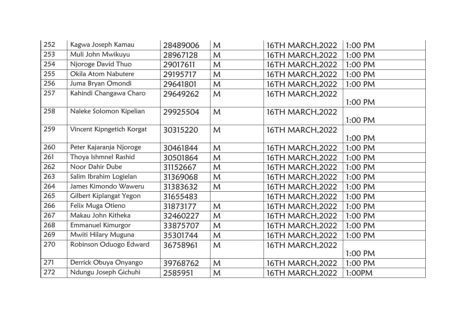| 252 | Kagwa Joseph Kamau        | 28489006 | M | 16TH MARCH, 2022 | 1:00 PM |
|-----|---------------------------|----------|---|------------------|---------|
| 253 | Muli John Mwikuyu         | 28967128 | M | 16TH MARCH, 2022 | 1:00 PM |
| 254 | Njoroge David Thuo        | 29017611 | M | 16TH MARCH, 2022 | 1:00 PM |
| 255 | Okila Atom Nabutere       | 29195717 | M | 16TH MARCH, 2022 | 1:00 PM |
| 256 | Juma Bryan Omondi         | 29641801 | M | 16TH MARCH, 2022 | 1:00 PM |
| 257 | Kahindi Changawa Charo    | 29649262 | M | 16TH MARCH, 2022 |         |
|     |                           |          |   |                  | 1:00 PM |
| 258 | Naleke Solomon Kipelian   | 29925504 | M | 16TH MARCH, 2022 |         |
|     |                           |          |   |                  | 1:00 PM |
| 259 | Vincent Kipngetich Korgat | 30315220 | M | 16TH MARCH, 2022 |         |
|     |                           |          |   |                  | 1:00 PM |
| 260 | Peter Kajaranja Njoroge   | 30461844 | M | 16TH MARCH, 2022 | 1:00 PM |
| 261 | Thoya Ishmnel Rashid      | 30501864 | M | 16TH MARCH, 2022 | 1:00 PM |
| 262 | Noor Dahir Dube           | 31152667 | M | 16TH MARCH, 2022 | 1:00 PM |
| 263 | Salim Ibrahim Logielan    | 31369068 | M | 16TH MARCH, 2022 | 1:00 PM |
| 264 | James Kimondo Waweru      | 31383632 | M | 16TH MARCH, 2022 | 1:00 PM |
| 265 | Gilbert Kiplangat Yegon   | 31655483 |   | 16TH MARCH, 2022 | 1:00 PM |
| 266 | Felix Muga Otieno         | 31873177 | M | 16TH MARCH, 2022 | 1:00 PM |
| 267 | Makau John Kitheka        | 32460227 | M | 16TH MARCH, 2022 | 1:00 PM |
| 268 | Emmanuel Kimurgor         | 33875707 | M | 16TH MARCH, 2022 | 1:00 PM |
| 269 | Mwiti Hilary Muguna       | 35301744 | M | 16TH MARCH, 2022 | 1:00 PM |
| 270 | Robinson Oduogo Edward    | 36758961 | M | 16TH MARCH, 2022 |         |
|     |                           |          |   |                  | 1:00 PM |
| 271 | Derrick Obuya Onyango     | 39768762 | M | 16TH MARCH, 2022 | 1:00 PM |
| 272 | Ndungu Joseph Gichuhi     | 2585951  | M | 16TH MARCH, 2022 | 1:00PM  |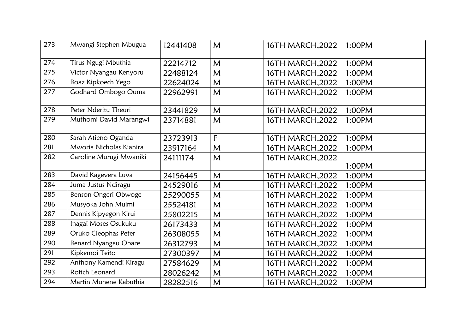| 273 | Mwangi Stephen Mbugua       | 12441408 | M            | 16TH MARCH, 2022 | 1:00PM |
|-----|-----------------------------|----------|--------------|------------------|--------|
| 274 | Tirus Ngugi Mbuthia         | 22214712 | M            | 16TH MARCH, 2022 | 1:00PM |
| 275 | Victor Nyangau Kenyoru      | 22488124 | M            | 16TH MARCH, 2022 | 1:00PM |
| 276 | Boaz Kipkoech Yego          | 22624024 | M            | 16TH MARCH, 2022 | 1:00PM |
| 277 | Godhard Ombogo Ouma         | 22962991 | $\mathsf{M}$ | 16TH MARCH, 2022 | 1:00PM |
| 278 | Peter Nderitu Theuri        | 23441829 | M            | 16TH MARCH, 2022 | 1:00PM |
| 279 | Muthomi David Marangwi      | 23714881 | M            | 16TH MARCH, 2022 | 1:00PM |
| 280 | Sarah Atieno Oganda         | 23723913 | F            | 16TH MARCH, 2022 | 1:00PM |
| 281 | Mworia Nicholas Kianira     | 23917164 | M            | 16TH MARCH, 2022 | 1:00PM |
| 282 | Caroline Murugi Mwaniki     | 24111174 | M            | 16TH MARCH, 2022 | 1:00PM |
| 283 | David Kagevera Luva         | 24156445 | M            | 16TH MARCH, 2022 | 1:00PM |
| 284 | Juma Justus Ndiragu         | 24529016 | M            | 16TH MARCH, 2022 | 1:00PM |
| 285 | Benson Ongeri Obwoge        | 25290055 | M            | 16TH MARCH, 2022 | 1:00PM |
| 286 | Musyoka John Muimi          | 25524181 | M            | 16TH MARCH, 2022 | 1:00PM |
| 287 | Dennis Kipyegon Kirui       | 25802215 | M            | 16TH MARCH, 2022 | 1:00PM |
| 288 | Inagai Moses Osukuku        | 26173433 | M            | 16TH MARCH, 2022 | 1:00PM |
| 289 | Oruko Cleophas Peter        | 26308055 | M            | 16TH MARCH, 2022 | 1:00PM |
| 290 | <b>Benard Nyangau Obare</b> | 26312793 | M            | 16TH MARCH, 2022 | 1:00PM |
| 291 | Kipkemoi Teito              | 27300397 | M            | 16TH MARCH, 2022 | 1:00PM |
| 292 | Anthony Kamendi Kiragu      | 27584629 | M            | 16TH MARCH, 2022 | 1:00PM |
| 293 | Rotich Leonard              | 28026242 | M            | 16TH MARCH, 2022 | 1:00PM |
| 294 | Martin Munene Kabuthia      | 28282516 | M            | 16TH MARCH, 2022 | 1:00PM |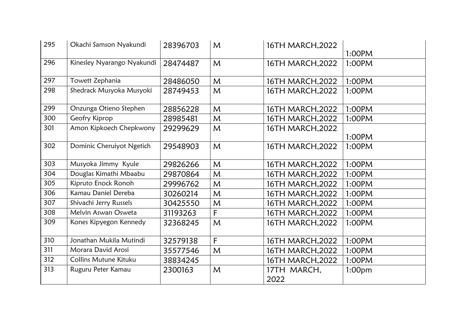| 295 | Okachi Samson Nyakundi       | 28396703 | M            | 16TH MARCH, 2022    | 1:00PM             |
|-----|------------------------------|----------|--------------|---------------------|--------------------|
| 296 | Kinesley Nyarango Nyakundi   | 28474487 | $\mathsf{M}$ | 16TH MARCH, 2022    | 1:00PM             |
| 297 | Towett Zephania              | 28486050 | M            | 16TH MARCH, 2022    | 1:00PM             |
| 298 | Shedrack Musyoka Musyoki     | 28749453 | M            | 16TH MARCH, 2022    | 1:00PM             |
| 299 | Onzunga Otieno Stephen       | 28856228 | M            | 16TH MARCH, 2022    | 1:00PM             |
| 300 | Geofry Kiprop                | 28985481 | M            | 16TH MARCH, 2022    | 1:00PM             |
| 301 | Amon Kipkoech Chepkwony      | 29299629 | $\mathsf{M}$ | 16TH MARCH, 2022    | 1:00PM             |
| 302 | Dominic Cheruiyot Ngetich    | 29548903 | M            | 16TH MARCH, 2022    | 1:00PM             |
| 303 | Musyoka Jimmy Kyule          | 29826266 | M            | 16TH MARCH, 2022    | 1:00PM             |
| 304 | Douglas Kimathi Mbaabu       | 29870864 | M            | 16TH MARCH, 2022    | 1:00PM             |
| 305 | Kipruto Enock Ronoh          | 29996762 | M            | 16TH MARCH, 2022    | 1:00PM             |
| 306 | Kamau Daniel Dereba          | 30260214 | M            | 16TH MARCH, 2022    | 1:00PM             |
| 307 | Shivachi Jerry Russels       | 30425550 | M            | 16TH MARCH, 2022    | 1:00PM             |
| 308 | Melvin Aswan Osweta          | 31193263 | F            | 16TH MARCH, 2022    | 1:00PM             |
| 309 | Kones Kipyegon Kennedy       | 32368245 | M            | 16TH MARCH, 2022    | 1:00PM             |
| 310 | Jonathan Mukila Mutindi      | 32579138 | F            | 16TH MARCH, 2022    | 1:00PM             |
| 311 | Morara David Arosi           | 35577546 | M            | 16TH MARCH, 2022    | 1:00PM             |
| 312 | <b>Collins Mutune Kituku</b> | 38834245 |              | 16TH MARCH, 2022    | 1:00PM             |
| 313 | Ruguru Peter Kamau           | 2300163  | $\mathsf{M}$ | 17TH MARCH,<br>2022 | 1:00 <sub>pm</sub> |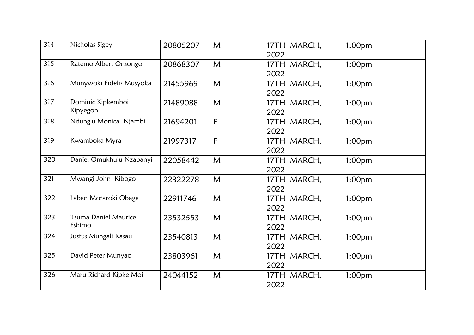| 314 | Nicholas Sigey                        | 20805207 | M            | 17TH MARCH,<br>2022 | 1:00 <sub>pm</sub> |
|-----|---------------------------------------|----------|--------------|---------------------|--------------------|
| 315 | Ratemo Albert Onsongo                 | 20868307 | $\mathsf{M}$ | 17TH MARCH,<br>2022 | 1:00 <sub>pm</sub> |
| 316 | Munywoki Fidelis Musyoka              | 21455969 | M            | 17TH MARCH,<br>2022 | 1:00 <sub>pm</sub> |
| 317 | Dominic Kipkemboi<br>Kipyegon         | 21489088 | M            | 17TH MARCH,<br>2022 | 1:00 <sub>pm</sub> |
| 318 | Ndung'u Monica Njambi                 | 21694201 | F            | 17TH MARCH,<br>2022 | 1:00 <sub>pm</sub> |
| 319 | Kwamboka Myra                         | 21997317 | F            | 17TH MARCH,<br>2022 | 1:00 <sub>pm</sub> |
| 320 | Daniel Omukhulu Nzabanyi              | 22058442 | M            | 17TH MARCH,<br>2022 | 1:00 <sub>pm</sub> |
| 321 | Mwangi John Kibogo                    | 22322278 | M            | 17TH MARCH,<br>2022 | 1:00 <sub>pm</sub> |
| 322 | Laban Motaroki Obaga                  | 22911746 | M            | 17TH MARCH,<br>2022 | 1:00 <sub>pm</sub> |
| 323 | <b>Tsuma Daniel Maurice</b><br>Eshimo | 23532553 | M            | 17TH MARCH,<br>2022 | 1:00 <sub>pm</sub> |
| 324 | Justus Mungali Kasau                  | 23540813 | M            | 17TH MARCH,<br>2022 | 1:00 <sub>pm</sub> |
| 325 | David Peter Munyao                    | 23803961 | M            | 17TH MARCH,<br>2022 | 1:00 <sub>pm</sub> |
| 326 | Maru Richard Kipke Moi                | 24044152 | M            | 17TH MARCH,<br>2022 | 1:00 <sub>pm</sub> |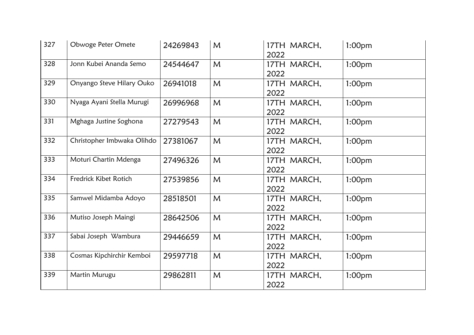| 327 | Obwoge Peter Omete         | 24269843 | M | 17TH MARCH,<br>2022 | 1:00 <sub>pm</sub> |
|-----|----------------------------|----------|---|---------------------|--------------------|
| 328 | Jonn Kubei Ananda Semo     | 24544647 | M | 17TH MARCH,<br>2022 | 1:00 <sub>pm</sub> |
| 329 | Onyango Steve Hilary Ouko  | 26941018 | M | 17TH MARCH,<br>2022 | 1:00 <sub>pm</sub> |
| 330 | Nyaga Ayani Stella Murugi  | 26996968 | M | 17TH MARCH,<br>2022 | 1:00 <sub>pm</sub> |
| 331 | Mghaga Justine Soghona     | 27279543 | M | 17TH MARCH,<br>2022 | 1:00 <sub>pm</sub> |
| 332 | Christopher Imbwaka Olihdo | 27381067 | M | 17TH MARCH,<br>2022 | 1:00 <sub>pm</sub> |
| 333 | Moturi Chartin Mdenga      | 27496326 | M | 17TH MARCH,<br>2022 | 1:00 <sub>pm</sub> |
| 334 | Fredrick Kibet Rotich      | 27539856 | M | 17TH MARCH,<br>2022 | 1:00 <sub>pm</sub> |
| 335 | Samwel Midamba Adoyo       | 28518501 | M | 17TH MARCH,<br>2022 | 1:00 <sub>pm</sub> |
| 336 | Mutiso Joseph Maingi       | 28642506 | M | 17TH MARCH,<br>2022 | 1:00 <sub>pm</sub> |
| 337 | Sabai Joseph Wambura       | 29446659 | M | 17TH MARCH,<br>2022 | 1:00 <sub>pm</sub> |
| 338 | Cosmas Kipchirchir Kemboi  | 29597718 | M | 17TH MARCH,<br>2022 | 1:00 <sub>pm</sub> |
| 339 | Martin Murugu              | 29862811 | M | 17TH MARCH,<br>2022 | 1:00 <sub>pm</sub> |